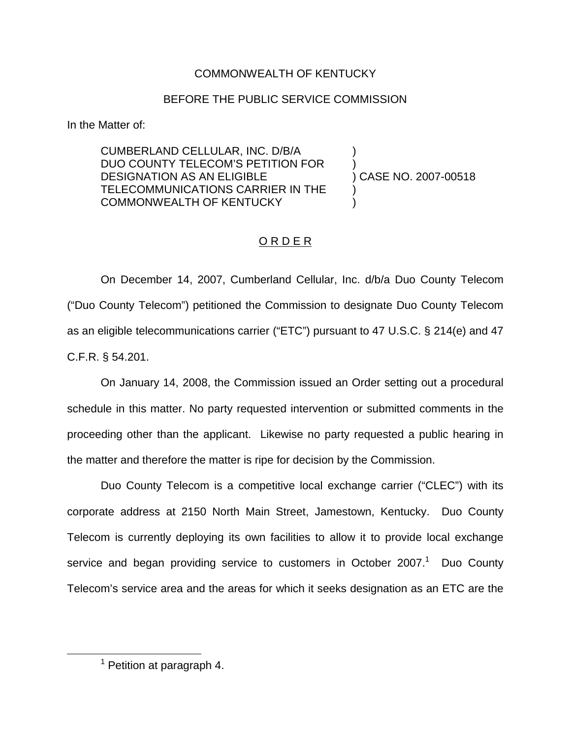## COMMONWEALTH OF KENTUCKY

## BEFORE THE PUBLIC SERVICE COMMISSION

In the Matter of:

CUMBERLAND CELLULAR, INC. D/B/A DUO COUNTY TELECOM'S PETITION FOR DESIGNATION AS AN ELIGIBLE TELECOMMUNICATIONS CARRIER IN THE COMMONWEALTH OF KENTUCKY

) CASE NO. 2007-00518 )

) )

)

## O R D E R

On December 14, 2007, Cumberland Cellular, Inc. d/b/a Duo County Telecom ("Duo County Telecom") petitioned the Commission to designate Duo County Telecom as an eligible telecommunications carrier ("ETC") pursuant to 47 U.S.C. § 214(e) and 47 C.F.R. § 54.201.

On January 14, 2008, the Commission issued an Order setting out a procedural schedule in this matter. No party requested intervention or submitted comments in the proceeding other than the applicant. Likewise no party requested a public hearing in the matter and therefore the matter is ripe for decision by the Commission.

Duo County Telecom is a competitive local exchange carrier ("CLEC") with its corporate address at 2150 North Main Street, Jamestown, Kentucky. Duo County Telecom is currently deploying its own facilities to allow it to provide local exchange service and began providing service to customers in October  $2007<sup>1</sup>$  Duo County Telecom's service area and the areas for which it seeks designation as an ETC are the

 $<sup>1</sup>$  Petition at paragraph 4.</sup>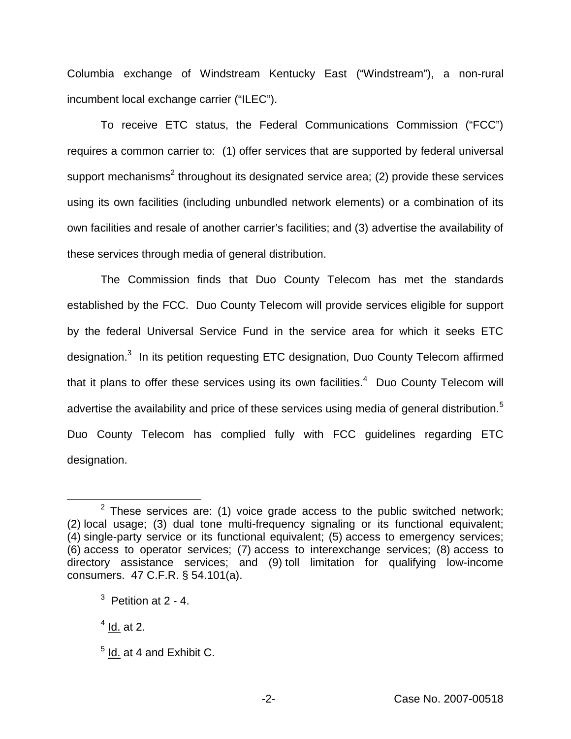Columbia exchange of Windstream Kentucky East ("Windstream"), a non-rural incumbent local exchange carrier ("ILEC").

To receive ETC status, the Federal Communications Commission ("FCC") requires a common carrier to: (1) offer services that are supported by federal universal support mechanisms<sup>2</sup> throughout its designated service area; (2) provide these services using its own facilities (including unbundled network elements) or a combination of its own facilities and resale of another carrier's facilities; and (3) advertise the availability of these services through media of general distribution.

The Commission finds that Duo County Telecom has met the standards established by the FCC. Duo County Telecom will provide services eligible for support by the federal Universal Service Fund in the service area for which it seeks ETC designation.3 In its petition requesting ETC designation, Duo County Telecom affirmed that it plans to offer these services using its own facilities.<sup>4</sup> Duo County Telecom will advertise the availability and price of these services using media of general distribution.<sup>5</sup> Duo County Telecom has complied fully with FCC guidelines regarding ETC designation.

 $2$  These services are: (1) voice grade access to the public switched network; (2) local usage; (3) dual tone multi-frequency signaling or its functional equivalent; (4) single-party service or its functional equivalent; (5) access to emergency services; (6) access to operator services; (7) access to interexchange services; (8) access to directory assistance services; and (9) toll limitation for qualifying low-income consumers. 47 C.F.R. § 54.101(a).

 $3$  Petition at 2 - 4.

 $<sup>4</sup>$  Id. at 2.</sup>

 $<sup>5</sup>$  Id. at 4 and Exhibit C.</sup>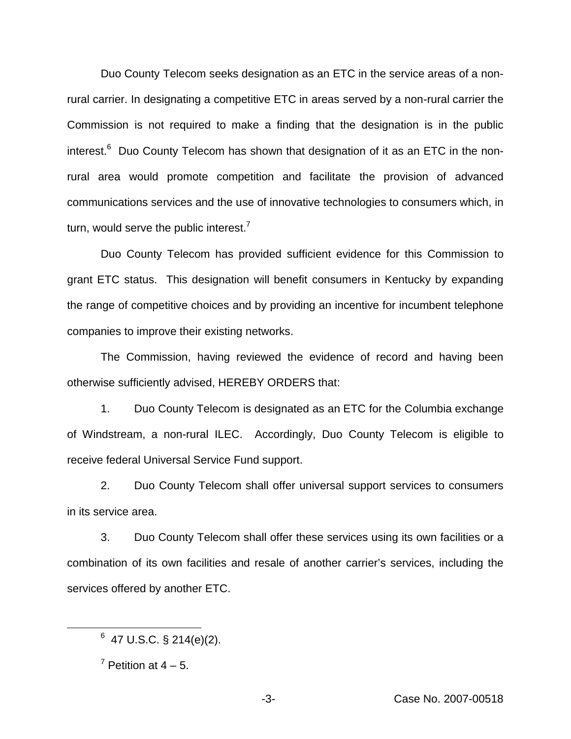Duo County Telecom seeks designation as an ETC in the service areas of a nonrural carrier. In designating a competitive ETC in areas served by a non-rural carrier the Commission is not required to make a finding that the designation is in the public interest. $6$  Duo County Telecom has shown that designation of it as an ETC in the nonrural area would promote competition and facilitate the provision of advanced communications services and the use of innovative technologies to consumers which, in turn, would serve the public interest.<sup>7</sup>

Duo County Telecom has provided sufficient evidence for this Commission to grant ETC status. This designation will benefit consumers in Kentucky by expanding the range of competitive choices and by providing an incentive for incumbent telephone companies to improve their existing networks.

The Commission, having reviewed the evidence of record and having been otherwise sufficiently advised, HEREBY ORDERS that:

1. Duo County Telecom is designated as an ETC for the Columbia exchange of Windstream, a non-rural ILEC. Accordingly, Duo County Telecom is eligible to receive federal Universal Service Fund support.

2. Duo County Telecom shall offer universal support services to consumers in its service area.

3. Duo County Telecom shall offer these services using its own facilities or a combination of its own facilities and resale of another carrier's services, including the services offered by another ETC.

 $6$  47 U.S.C. § 214(e)(2).

 $<sup>7</sup>$  Petition at  $4 - 5$ .</sup>